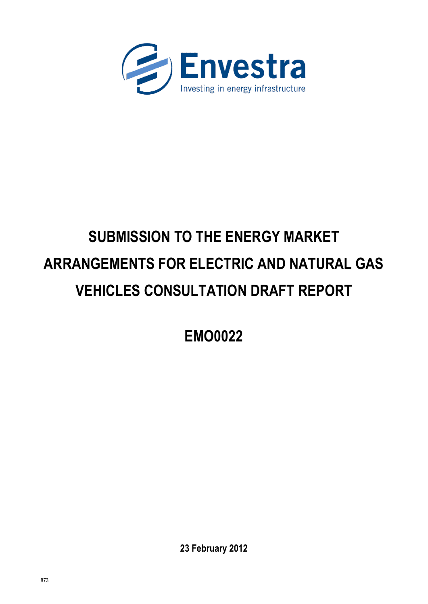

# **SUBMISSION TO THE ENERGY MARKET ARRANGEMENTS FOR ELECTRIC AND NATURAL GAS VEHICLES CONSULTATION DRAFT REPORT**

**EMO0022**

**23 February 2012**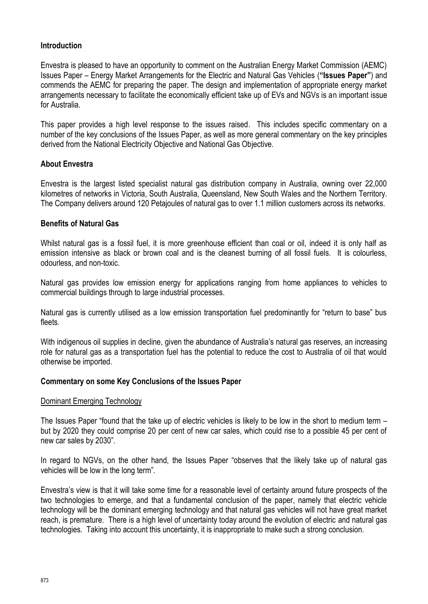# **Introduction**

Envestra is pleased to have an opportunity to comment on the Australian Energy Market Commission (AEMC) Issues Paper – Energy Market Arrangements for the Electric and Natural Gas Vehicles (**"Issues Paper"**) and commends the AEMC for preparing the paper. The design and implementation of appropriate energy market arrangements necessary to facilitate the economically efficient take up of EVs and NGVs is an important issue for Australia.

This paper provides a high level response to the issues raised. This includes specific commentary on a number of the key conclusions of the Issues Paper, as well as more general commentary on the key principles derived from the National Electricity Objective and National Gas Objective.

## **About Envestra**

Envestra is the largest listed specialist natural gas distribution company in Australia, owning over 22,000 kilometres of networks in Victoria, South Australia, Queensland, New South Wales and the Northern Territory. The Company delivers around 120 Petajoules of natural gas to over 1.1 million customers across its networks.

#### **Benefits of Natural Gas**

Whilst natural gas is a fossil fuel, it is more greenhouse efficient than coal or oil, indeed it is only half as emission intensive as black or brown coal and is the cleanest burning of all fossil fuels. It is colourless, odourless, and non-toxic.

Natural gas provides low emission energy for applications ranging from home appliances to vehicles to commercial buildings through to large industrial processes.

Natural gas is currently utilised as a low emission transportation fuel predominantly for "return to base" bus fleets.

With indigenous oil supplies in decline, given the abundance of Australia's natural gas reserves, an increasing role for natural gas as a transportation fuel has the potential to reduce the cost to Australia of oil that would otherwise be imported.

#### **Commentary on some Key Conclusions of the Issues Paper**

#### Dominant Emerging Technology

The Issues Paper "found that the take up of electric vehicles is likely to be low in the short to medium term – but by 2020 they could comprise 20 per cent of new car sales, which could rise to a possible 45 per cent of new car sales by 2030".

In regard to NGVs, on the other hand, the Issues Paper "observes that the likely take up of natural gas vehicles will be low in the long term".

Envestra"s view is that it will take some time for a reasonable level of certainty around future prospects of the two technologies to emerge, and that a fundamental conclusion of the paper, namely that electric vehicle technology will be the dominant emerging technology and that natural gas vehicles will not have great market reach, is premature. There is a high level of uncertainty today around the evolution of electric and natural gas technologies. Taking into account this uncertainty, it is inappropriate to make such a strong conclusion.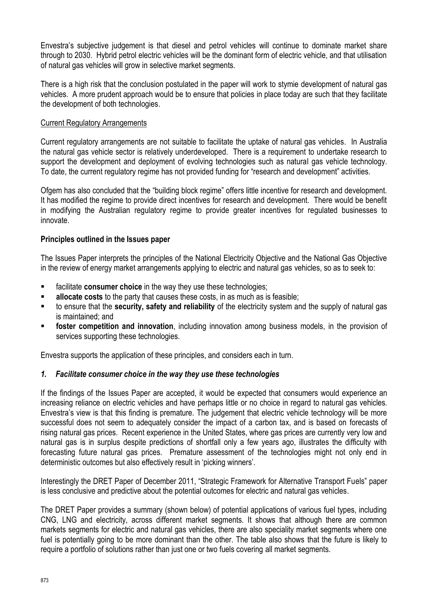Envestra"s subjective judgement is that diesel and petrol vehicles will continue to dominate market share through to 2030. Hybrid petrol electric vehicles will be the dominant form of electric vehicle, and that utilisation of natural gas vehicles will grow in selective market segments.

There is a high risk that the conclusion postulated in the paper will work to stymie development of natural gas vehicles. A more prudent approach would be to ensure that policies in place today are such that they facilitate the development of both technologies.

### Current Regulatory Arrangements

Current regulatory arrangements are not suitable to facilitate the uptake of natural gas vehicles. In Australia the natural gas vehicle sector is relatively underdeveloped. There is a requirement to undertake research to support the development and deployment of evolving technologies such as natural gas vehicle technology. To date, the current regulatory regime has not provided funding for "research and development" activities.

Ofgem has also concluded that the "building block regime" offers little incentive for research and development. It has modified the regime to provide direct incentives for research and development. There would be benefit in modifying the Australian regulatory regime to provide greater incentives for regulated businesses to innovate.

#### **Principles outlined in the Issues paper**

The Issues Paper interprets the principles of the National Electricity Objective and the National Gas Objective in the review of energy market arrangements applying to electric and natural gas vehicles, so as to seek to:

- facilitate **consumer choice** in the way they use these technologies;
- **allocate costs** to the party that causes these costs, in as much as is feasible;
- to ensure that the **security, safety and reliability** of the electricity system and the supply of natural gas is maintained; and
- **foster competition and innovation**, including innovation among business models, in the provision of services supporting these technologies.

Envestra supports the application of these principles, and considers each in turn.

## *1. Facilitate consumer choice in the way they use these technologies*

If the findings of the Issues Paper are accepted, it would be expected that consumers would experience an increasing reliance on electric vehicles and have perhaps little or no choice in regard to natural gas vehicles. Envestra"s view is that this finding is premature. The judgement that electric vehicle technology will be more successful does not seem to adequately consider the impact of a carbon tax, and is based on forecasts of rising natural gas prices. Recent experience in the United States, where gas prices are currently very low and natural gas is in surplus despite predictions of shortfall only a few years ago, illustrates the difficulty with forecasting future natural gas prices. Premature assessment of the technologies might not only end in deterministic outcomes but also effectively result in "picking winners".

Interestingly the DRET Paper of December 2011, "Strategic Framework for Alternative Transport Fuels" paper is less conclusive and predictive about the potential outcomes for electric and natural gas vehicles.

The DRET Paper provides a summary (shown below) of potential applications of various fuel types, including CNG, LNG and electricity, across different market segments. It shows that although there are common markets segments for electric and natural gas vehicles, there are also speciality market segments where one fuel is potentially going to be more dominant than the other. The table also shows that the future is likely to require a portfolio of solutions rather than just one or two fuels covering all market segments.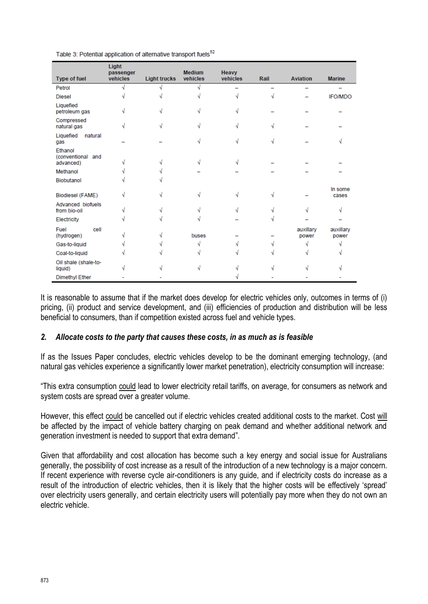| Type of fuel                              | Light<br>passenger<br>vehicles | <b>Light trucks</b> | <b>Medium</b><br>vehicles | <b>Heavy</b><br>vehicles | Rail | <b>Aviation</b>    | <b>Marine</b>      |
|-------------------------------------------|--------------------------------|---------------------|---------------------------|--------------------------|------|--------------------|--------------------|
| Petrol                                    |                                |                     |                           |                          |      |                    |                    |
| <b>Diesel</b>                             |                                |                     |                           |                          |      |                    | <b>IFO/MDO</b>     |
| Liquefied<br>petroleum gas                |                                |                     |                           |                          |      |                    |                    |
| Compressed<br>natural gas                 |                                |                     |                           |                          |      |                    |                    |
| Liquefied<br>natural<br>gas               |                                |                     |                           |                          |      |                    |                    |
| Ethanol<br>(conventional and<br>advanced) |                                |                     |                           |                          |      |                    |                    |
| Methanol                                  |                                |                     |                           |                          |      |                    |                    |
| Biobutanol                                |                                |                     |                           |                          |      |                    |                    |
| Biodiesel (FAME)                          |                                |                     |                           |                          |      |                    | In some<br>cases   |
| Advanced biofuels<br>from bio-oil         |                                |                     |                           |                          |      |                    |                    |
| Electricity                               |                                |                     |                           |                          |      |                    |                    |
| cell<br>Fuel<br>(hydrogen)                |                                |                     | buses                     |                          |      | auxillary<br>power | auxillary<br>power |
| Gas-to-liquid                             |                                |                     |                           |                          |      |                    |                    |
| Coal-to-liquid                            |                                |                     |                           |                          |      |                    |                    |
| Oil shale (shale-to-<br>liquid)           |                                |                     |                           |                          |      |                    |                    |
| <b>Dimethyl Ether</b>                     |                                |                     |                           |                          |      |                    |                    |

Table 3: Potential application of alternative transport fuels<sup>52</sup>

It is reasonable to assume that if the market does develop for electric vehicles only, outcomes in terms of (i) pricing, (ii) product and service development, and (iii) efficiencies of production and distribution will be less beneficial to consumers, than if competition existed across fuel and vehicle types.

#### *2. Allocate costs to the party that causes these costs, in as much as is feasible*

If as the Issues Paper concludes, electric vehicles develop to be the dominant emerging technology, (and natural gas vehicles experience a significantly lower market penetration), electricity consumption will increase:

"This extra consumption could lead to lower electricity retail tariffs, on average, for consumers as network and system costs are spread over a greater volume.

However, this effect could be cancelled out if electric vehicles created additional costs to the market. Cost will be affected by the impact of vehicle battery charging on peak demand and whether additional network and generation investment is needed to support that extra demand".

Given that affordability and cost allocation has become such a key energy and social issue for Australians generally, the possibility of cost increase as a result of the introduction of a new technology is a major concern. If recent experience with reverse cycle air-conditioners is any guide, and if electricity costs do increase as a result of the introduction of electric vehicles, then it is likely that the higher costs will be effectively "spread" over electricity users generally, and certain electricity users will potentially pay more when they do not own an electric vehicle.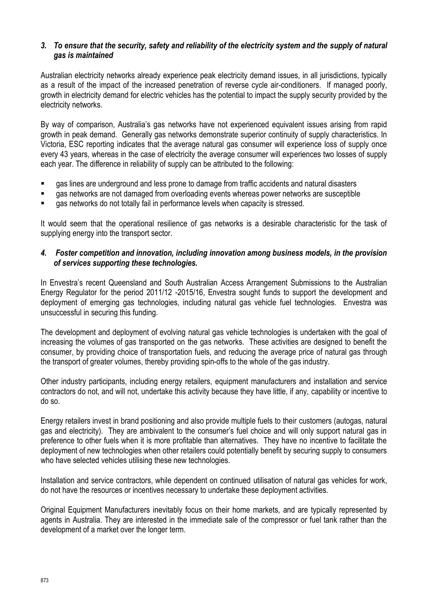# *3. To ensure that the security, safety and reliability of the electricity system and the supply of natural gas is maintained*

Australian electricity networks already experience peak electricity demand issues, in all jurisdictions, typically as a result of the impact of the increased penetration of reverse cycle air-conditioners. If managed poorly, growth in electricity demand for electric vehicles has the potential to impact the supply security provided by the electricity networks.

By way of comparison, Australia"s gas networks have not experienced equivalent issues arising from rapid growth in peak demand. Generally gas networks demonstrate superior continuity of supply characteristics. In Victoria, ESC reporting indicates that the average natural gas consumer will experience loss of supply once every 43 years, whereas in the case of electricity the average consumer will experiences two losses of supply each year. The difference in reliability of supply can be attributed to the following:

- gas lines are underground and less prone to damage from traffic accidents and natural disasters
- gas networks are not damaged from overloading events whereas power networks are susceptible
- gas networks do not totally fail in performance levels when capacity is stressed.

It would seem that the operational resilience of gas networks is a desirable characteristic for the task of supplying energy into the transport sector.

## *4. Foster competition and innovation, including innovation among business models, in the provision of services supporting these technologies.*

In Envestra"s recent Queensland and South Australian Access Arrangement Submissions to the Australian Energy Regulator for the period 2011/12 -2015/16, Envestra sought funds to support the development and deployment of emerging gas technologies, including natural gas vehicle fuel technologies. Envestra was unsuccessful in securing this funding.

The development and deployment of evolving natural gas vehicle technologies is undertaken with the goal of increasing the volumes of gas transported on the gas networks. These activities are designed to benefit the consumer, by providing choice of transportation fuels, and reducing the average price of natural gas through the transport of greater volumes, thereby providing spin-offs to the whole of the gas industry.

Other industry participants, including energy retailers, equipment manufacturers and installation and service contractors do not, and will not, undertake this activity because they have little, if any, capability or incentive to do so.

Energy retailers invest in brand positioning and also provide multiple fuels to their customers (autogas, natural gas and electricity). They are ambivalent to the consumer"s fuel choice and will only support natural gas in preference to other fuels when it is more profitable than alternatives. They have no incentive to facilitate the deployment of new technologies when other retailers could potentially benefit by securing supply to consumers who have selected vehicles utilising these new technologies.

Installation and service contractors, while dependent on continued utilisation of natural gas vehicles for work, do not have the resources or incentives necessary to undertake these deployment activities.

Original Equipment Manufacturers inevitably focus on their home markets, and are typically represented by agents in Australia. They are interested in the immediate sale of the compressor or fuel tank rather than the development of a market over the longer term.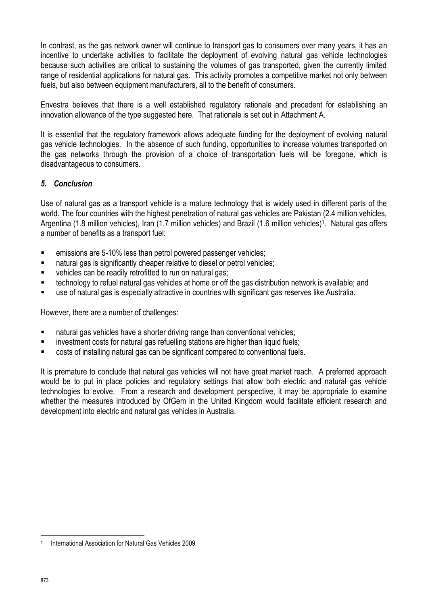In contrast, as the gas network owner will continue to transport gas to consumers over many years, it has an incentive to undertake activities to facilitate the deployment of evolving natural gas vehicle technologies because such activities are critical to sustaining the volumes of gas transported, given the currently limited range of residential applications for natural gas. This activity promotes a competitive market not only between fuels, but also between equipment manufacturers, all to the benefit of consumers.

Envestra believes that there is a well established regulatory rationale and precedent for establishing an innovation allowance of the type suggested here. That rationale is set out in Attachment A.

It is essential that the regulatory framework allows adequate funding for the deployment of evolving natural gas vehicle technologies. In the absence of such funding, opportunities to increase volumes transported on the gas networks through the provision of a choice of transportation fuels will be foregone, which is disadvantageous to consumers.

# *5. Conclusion*

Use of natural gas as a transport vehicle is a mature technology that is widely used in different parts of the world. The four countries with the highest penetration of natural gas vehicles are Pakistan (2.4 million vehicles, Argentina (1.8 million vehicles), Iran (1.7 million vehicles) and Brazil (1.6 million vehicles)<sup>1</sup>. Natural gas offers a number of benefits as a transport fuel:

- emissions are 5-10% less than petrol powered passenger vehicles;
- natural gas is significantly cheaper relative to diesel or petrol vehicles:
- **•** vehicles can be readily retrofitted to run on natural gas;
- technology to refuel natural gas vehicles at home or off the gas distribution network is available; and
- use of natural gas is especially attractive in countries with significant gas reserves like Australia.

However, there are a number of challenges:

- natural gas vehicles have a shorter driving range than conventional vehicles;
- **EXEDENT** investment costs for natural gas refuelling stations are higher than liquid fuels;
- costs of installing natural gas can be significant compared to conventional fuels.

It is premature to conclude that natural gas vehicles will not have great market reach. A preferred approach would be to put in place policies and regulatory settings that allow both electric and natural gas vehicle technologies to evolve. From a research and development perspective, it may be appropriate to examine whether the measures introduced by OfGem in the United Kingdom would facilitate efficient research and development into electric and natural gas vehicles in Australia.

**<sup>.</sup>** 1 International Association for Natural Gas Vehicles 2009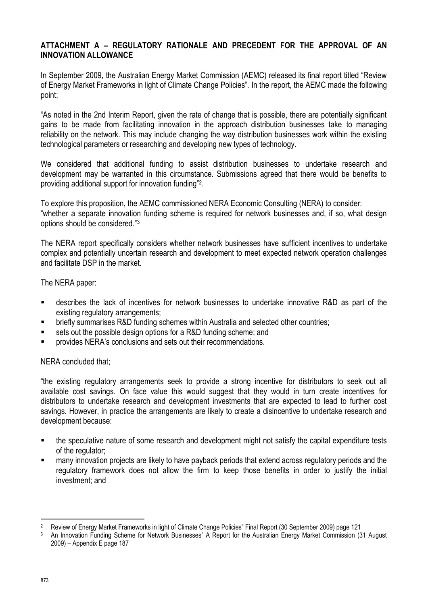# **ATTACHMENT A – REGULATORY RATIONALE AND PRECEDENT FOR THE APPROVAL OF AN INNOVATION ALLOWANCE**

In September 2009, the Australian Energy Market Commission (AEMC) released its final report titled "Review of Energy Market Frameworks in light of Climate Change Policies". In the report, the AEMC made the following point;

"As noted in the 2nd Interim Report, given the rate of change that is possible, there are potentially significant gains to be made from facilitating innovation in the approach distribution businesses take to managing reliability on the network. This may include changing the way distribution businesses work within the existing technological parameters or researching and developing new types of technology.

We considered that additional funding to assist distribution businesses to undertake research and development may be warranted in this circumstance. Submissions agreed that there would be benefits to providing additional support for innovation funding"<sup>2</sup>.

To explore this proposition, the AEMC commissioned NERA Economic Consulting (NERA) to consider: "whether a separate innovation funding scheme is required for network businesses and, if so, what design options should be considered."<sup>3</sup>

The NERA report specifically considers whether network businesses have sufficient incentives to undertake complex and potentially uncertain research and development to meet expected network operation challenges and facilitate DSP in the market.

The NERA paper:

- describes the lack of incentives for network businesses to undertake innovative R&D as part of the existing regulatory arrangements;
- **EXECTE FIGHT SUMMARY SUMMARY SCHEME FIGHT STARK ISSUES** FUNDING STARK ISSUES:
- sets out the possible design options for a R&D funding scheme; and
- provides NERA"s conclusions and sets out their recommendations.

## NERA concluded that;

"the existing regulatory arrangements seek to provide a strong incentive for distributors to seek out all available cost savings. On face value this would suggest that they would in turn create incentives for distributors to undertake research and development investments that are expected to lead to further cost savings. However, in practice the arrangements are likely to create a disincentive to undertake research and development because:

- the speculative nature of some research and development might not satisfy the capital expenditure tests of the regulator;
- many innovation projects are likely to have payback periods that extend across regulatory periods and the regulatory framework does not allow the firm to keep those benefits in order to justify the initial investment; and

**.** 

<sup>2</sup> Review of Energy Market Frameworks in light of Climate Change Policies" Final Report (30 September 2009) page 121

<sup>3</sup> An Innovation Funding Scheme for Network Businesses" A Report for the Australian Energy Market Commission (31 August 2009) – Appendix E page 187